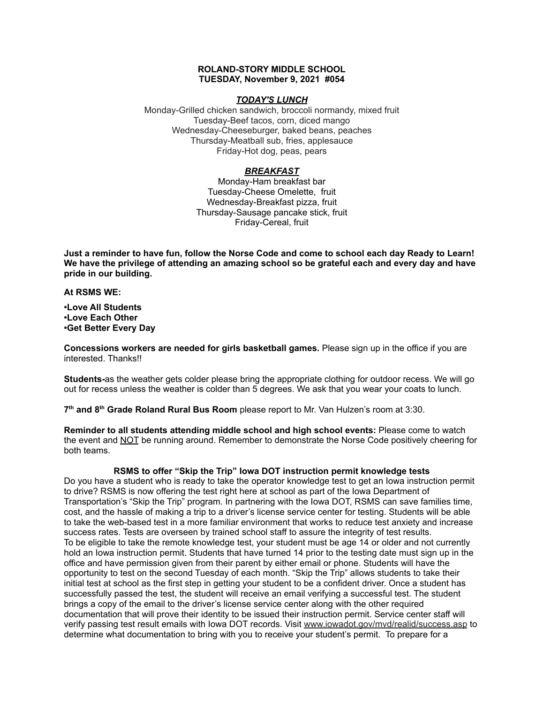## **ROLAND-STORY MIDDLE SCHOOL TUESDAY, November 9, 2021 #054**

#### *TODAY'S LUNCH*

Monday-Grilled chicken sandwich, broccoli normandy, mixed fruit Tuesday-Beef tacos, corn, diced mango Wednesday-Cheeseburger, baked beans, peaches Thursday-Meatball sub, fries, applesauce Friday-Hot dog, peas, pears

# *BREAKFAST*

Monday-Ham breakfast bar Tuesday-Cheese Omelette, fruit Wednesday-Breakfast pizza, fruit Thursday-Sausage pancake stick, fruit Friday-Cereal, fruit

Just a reminder to have fun, follow the Norse Code and come to school each day Ready to Learn! **We have the privilege of attending an amazing school so be grateful each and every day and have pride in our building.**

**At RSMS WE:**

**•Love All Students •Love Each Other •Get Better Every Day**

**Concessions workers are needed for girls basketball games.** Please sign up in the office if you are interested. Thanks!!

**Students-**as the weather gets colder please bring the appropriate clothing for outdoor recess. We will go out for recess unless the weather is colder than 5 degrees. We ask that you wear your coats to lunch.

**7 th and 8 th Grade Roland Rural Bus Room** please report to Mr. Van Hulzen's room at 3:30.

**Reminder to all students attending middle school and high school events:** Please come to watch the event and NOT be running around. Remember to demonstrate the Norse Code positively cheering for both teams.

# **RSMS to offer "Skip the Trip" Iowa DOT instruction permit knowledge tests**

Do you have a student who is ready to take the operator knowledge test to get an Iowa instruction permit to drive? RSMS is now offering the test right here at school as part of the Iowa Department of Transportation's "Skip the Trip" program. In partnering with the Iowa DOT, RSMS can save families time, cost, and the hassle of making a trip to a driver's license service center for testing. Students will be able to take the web-based test in a more familiar environment that works to reduce test anxiety and increase success rates. Tests are overseen by trained school staff to assure the integrity of test results. To be eligible to take the remote knowledge test, your student must be age 14 or older and not currently hold an Iowa instruction permit. Students that have turned 14 prior to the testing date must sign up in the office and have permission given from their parent by either email or phone. Students will have the opportunity to test on the second Tuesday of each month. "Skip the Trip" allows students to take their initial test at school as the first step in getting your student to be a confident driver. Once a student has successfully passed the test, the student will receive an email verifying a successful test. The student brings a copy of the email to the driver's license service center along with the other required documentation that will prove their identity to be issued their instruction permit. Service center staff will verify passing test result emails with Iowa DOT records. Visit [www.iowadot.gov/mvd/realid/success.asp](http://www.iowadot.gov/mvd/realid/success.asp) to determine what documentation to bring with you to receive your student's permit. To prepare for a